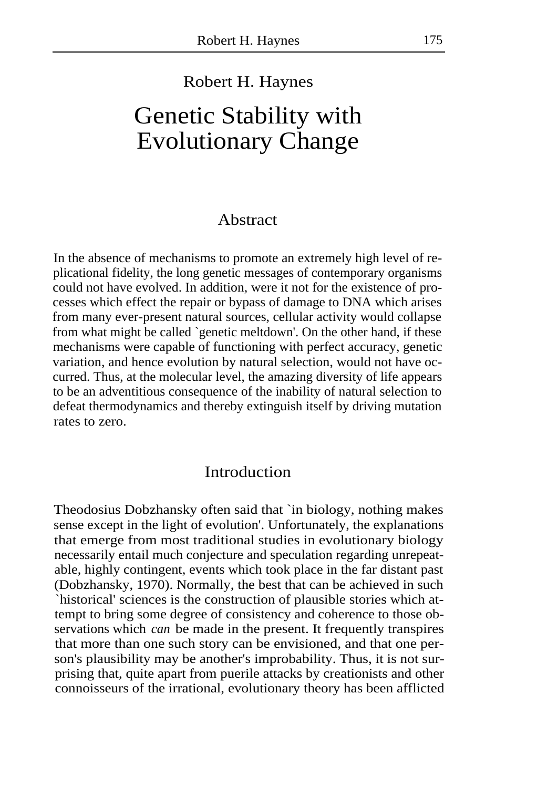## Robert H. Haynes

# Genetic Stability with Evolutionary Change

#### Abstract

In the absence of mechanisms to promote an extremely high level of replicational fidelity, the long genetic messages of contemporary organisms could not have evolved. In addition, were it not for the existence of processes which effect the repair or bypass of damage to DNA which arises from many ever-present natural sources, cellular activity would collapse from what might be called `genetic meltdown'. On the other hand, if these mechanisms were capable of functioning with perfect accuracy, genetic variation, and hence evolution by natural selection, would not have occurred. Thus, at the molecular level, the amazing diversity of life appears to be an adventitious consequence of the inability of natural selection to defeat thermodynamics and thereby extinguish itself by driving mutation rates to zero.

## Introduction

Theodosius Dobzhansky often said that `in biology, nothing makes sense except in the light of evolution'. Unfortunately, the explanations that emerge from most traditional studies in evolutionary biology necessarily entail much conjecture and speculation regarding unrepeatable, highly contingent, events which took place in the far distant past (Dobzhansky, 1970). Normally, the best that can be achieved in such `historical' sciences is the construction of plausible stories which attempt to bring some degree of consistency and coherence to those observations which *can* be made in the present. It frequently transpires that more than one such story can be envisioned, and that one person's plausibility may be another's improbability. Thus, it is not surprising that, quite apart from puerile attacks by creationists and other connoisseurs of the irrational, evolutionary theory has been afflicted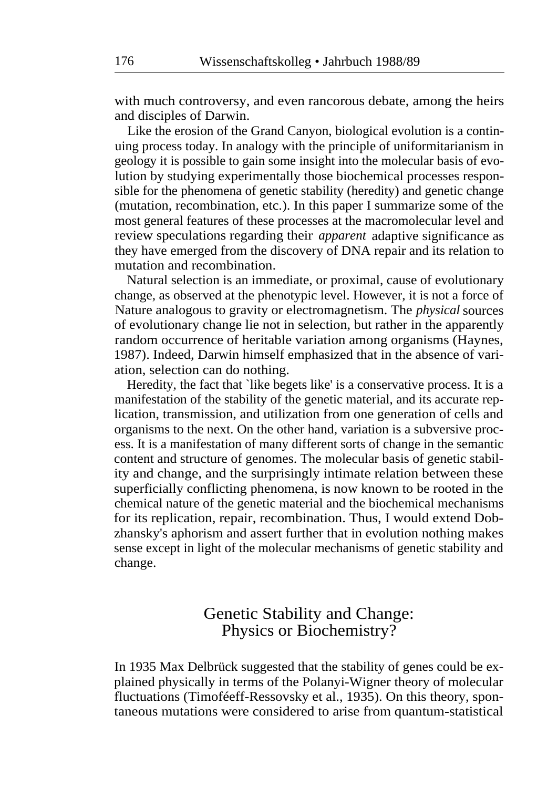with much controversy, and even rancorous debate, among the heirs and disciples of Darwin.

Like the erosion of the Grand Canyon, biological evolution is a continuing process today. In analogy with the principle of uniformitarianism in geology it is possible to gain some insight into the molecular basis of evolution by studying experimentally those biochemical processes responsible for the phenomena of genetic stability (heredity) and genetic change (mutation, recombination, etc.). In this paper I summarize some of the most general features of these processes at the macromolecular level and review speculations regarding their *apparent* adaptive significance as they have emerged from the discovery of DNA repair and its relation to mutation and recombination.

Natural selection is an immediate, or proximal, cause of evolutionary change, as observed at the phenotypic level. However, it is not a force of Nature analogous to gravity or electromagnetism. The *physical* sources of evolutionary change lie not in selection, but rather in the apparently random occurrence of heritable variation among organisms (Haynes, 1987). Indeed, Darwin himself emphasized that in the absence of variation, selection can do nothing.

Heredity, the fact that `like begets like' is a conservative process. It is a manifestation of the stability of the genetic material, and its accurate replication, transmission, and utilization from one generation of cells and organisms to the next. On the other hand, variation is a subversive process. It is a manifestation of many different sorts of change in the semantic content and structure of genomes. The molecular basis of genetic stability and change, and the surprisingly intimate relation between these superficially conflicting phenomena, is now known to be rooted in the chemical nature of the genetic material and the biochemical mechanisms for its replication, repair, recombination. Thus, I would extend Dobzhansky's aphorism and assert further that in evolution nothing makes sense except in light of the molecular mechanisms of genetic stability and change.

# Genetic Stability and Change: Physics or Biochemistry?

In 1935 Max Delbrück suggested that the stability of genes could be explained physically in terms of the Polanyi-Wigner theory of molecular fluctuations (Timoféeff-Ressovsky et al., 1935). On this theory, spontaneous mutations were considered to arise from quantum-statistical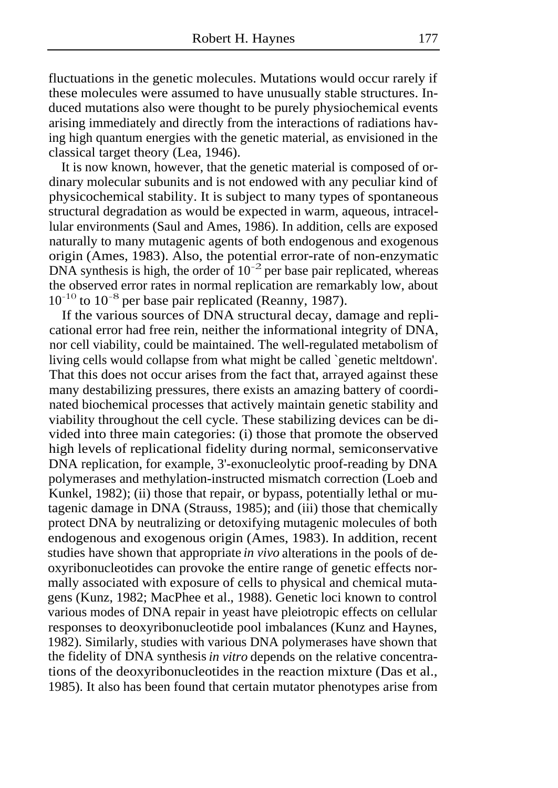fluctuations in the genetic molecules. Mutations would occur rarely if these molecules were assumed to have unusually stable structures. Induced mutations also were thought to be purely physiochemical events arising immediately and directly from the interactions of radiations having high quantum energies with the genetic material, as envisioned in the classical target theory (Lea, 1946).

It is now known, however, that the genetic material is composed of ordinary molecular subunits and is not endowed with any peculiar kind of physicochemical stability. It is subject to many types of spontaneous structural degradation as would be expected in warm, aqueous, intracellular environments (Saul and Ames, 1986). In addition, cells are exposed naturally to many mutagenic agents of both endogenous and exogenous origin (Ames, 1983). Also, the potential error-rate of non-enzymatic DNA synthesis is high, the order of  $10^{-2}$  per base pair replicated, whereas the observed error rates in normal replication are remarkably low, about  $10^{-10}$  to  $10^{-8}$  per base pair replicated (Reanny, 1987).

If the various sources of DNA structural decay, damage and replicational error had free rein, neither the informational integrity of DNA, nor cell viability, could be maintained. The well-regulated metabolism of living cells would collapse from what might be called `genetic meltdown'. That this does not occur arises from the fact that, arrayed against these many destabilizing pressures, there exists an amazing battery of coordinated biochemical processes that actively maintain genetic stability and viability throughout the cell cycle. These stabilizing devices can be divided into three main categories: (i) those that promote the observed high levels of replicational fidelity during normal, semiconservative DNA replication, for example, 3'-exonucleolytic proof-reading by DNA polymerases and methylation-instructed mismatch correction (Loeb and Kunkel, 1982); (ii) those that repair, or bypass, potentially lethal or mutagenic damage in DNA (Strauss, 1985); and (iii) those that chemically protect DNA by neutralizing or detoxifying mutagenic molecules of both endogenous and exogenous origin (Ames, 1983). In addition, recent studies have shown that appropriate *in vivo* alterations in the pools of deoxyribonucleotides can provoke the entire range of genetic effects normally associated with exposure of cells to physical and chemical mutagens (Kunz, 1982; MacPhee et al., 1988). Genetic loci known to control various modes of DNA repair in yeast have pleiotropic effects on cellular responses to deoxyribonucleotide pool imbalances (Kunz and Haynes, 1982). Similarly, studies with various DNA polymerases have shown that the fidelity of DNA synthesis *in vitro* depends on the relative concentrations of the deoxyribonucleotides in the reaction mixture (Das et al., 1985). It also has been found that certain mutator phenotypes arise from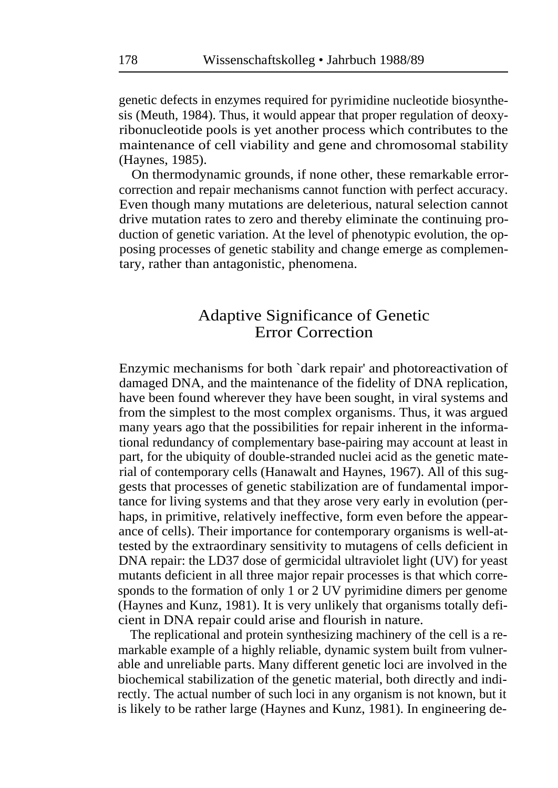genetic defects in enzymes required for pyrimidine nucleotide biosynthesis (Meuth, 1984). Thus, it would appear that proper regulation of deoxyribonucleotide pools is yet another process which contributes to the maintenance of cell viability and gene and chromosomal stability (Haynes, 1985).

On thermodynamic grounds, if none other, these remarkable errorcorrection and repair mechanisms cannot function with perfect accuracy. Even though many mutations are deleterious, natural selection cannot drive mutation rates to zero and thereby eliminate the continuing production of genetic variation. At the level of phenotypic evolution, the opposing processes of genetic stability and change emerge as complementary, rather than antagonistic, phenomena.

# Adaptive Significance of Genetic Error Correction

Enzymic mechanisms for both `dark repair' and photoreactivation of damaged DNA, and the maintenance of the fidelity of DNA replication, have been found wherever they have been sought, in viral systems and from the simplest to the most complex organisms. Thus, it was argued many years ago that the possibilities for repair inherent in the informational redundancy of complementary base-pairing may account at least in part, for the ubiquity of double-stranded nuclei acid as the genetic material of contemporary cells (Hanawalt and Haynes, 1967). All of this suggests that processes of genetic stabilization are of fundamental importance for living systems and that they arose very early in evolution (perhaps, in primitive, relatively ineffective, form even before the appearance of cells). Their importance for contemporary organisms is well-attested by the extraordinary sensitivity to mutagens of cells deficient in DNA repair: the LD37 dose of germicidal ultraviolet light (UV) for yeast mutants deficient in all three major repair processes is that which corresponds to the formation of only 1 or 2 UV pyrimidine dimers per genome (Haynes and Kunz, 1981). It is very unlikely that organisms totally deficient in DNA repair could arise and flourish in nature.

The replicational and protein synthesizing machinery of the cell is a remarkable example of a highly reliable, dynamic system built from vulnerable and unreliable parts. Many different genetic loci are involved in the biochemical stabilization of the genetic material, both directly and indirectly. The actual number of such loci in any organism is not known, but it is likely to be rather large (Haynes and Kunz, 1981). In engineering de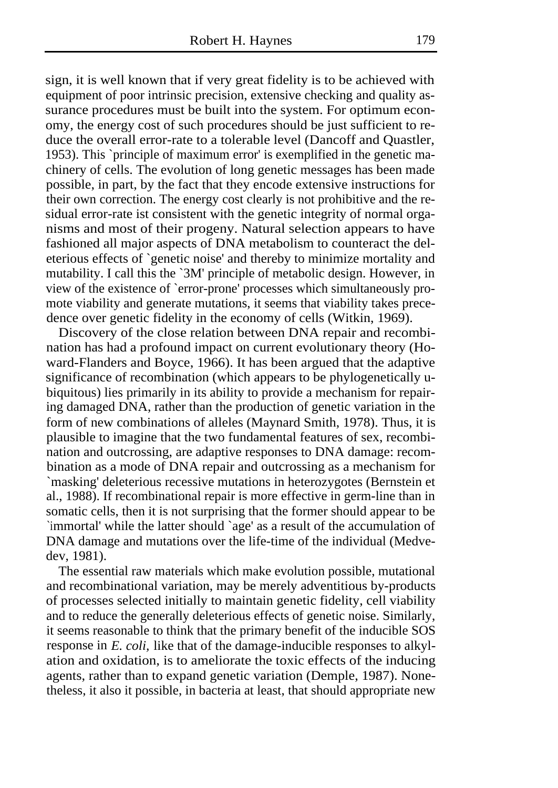sign, it is well known that if very great fidelity is to be achieved with equipment of poor intrinsic precision, extensive checking and quality assurance procedures must be built into the system. For optimum economy, the energy cost of such procedures should be just sufficient to reduce the overall error-rate to a tolerable level (Dancoff and Quastler, 1953). This `principle of maximum error' is exemplified in the genetic machinery of cells. The evolution of long genetic messages has been made possible, in part, by the fact that they encode extensive instructions for their own correction. The energy cost clearly is not prohibitive and the residual error-rate ist consistent with the genetic integrity of normal organisms and most of their progeny. Natural selection appears to have fashioned all major aspects of DNA metabolism to counteract the deleterious effects of `genetic noise' and thereby to minimize mortality and mutability. I call this the `3M' principle of metabolic design. However, in view of the existence of `error-prone' processes which simultaneously promote viability and generate mutations, it seems that viability takes precedence over genetic fidelity in the economy of cells (Witkin, 1969).

Discovery of the close relation between DNA repair and recombination has had a profound impact on current evolutionary theory (Howard-Flanders and Boyce, 1966). It has been argued that the adaptive significance of recombination (which appears to be phylogenetically ubiquitous) lies primarily in its ability to provide a mechanism for repairing damaged DNA, rather than the production of genetic variation in the form of new combinations of alleles (Maynard Smith, 1978). Thus, it is plausible to imagine that the two fundamental features of sex, recombination and outcrossing, are adaptive responses to DNA damage: recombination as a mode of DNA repair and outcrossing as a mechanism for `masking' deleterious recessive mutations in heterozygotes (Bernstein et al., 1988). If recombinational repair is more effective in germ-line than in somatic cells, then it is not surprising that the former should appear to be `immortal' while the latter should `age' as a result of the accumulation of DNA damage and mutations over the life-time of the individual (Medvedev, 1981).

The essential raw materials which make evolution possible, mutational and recombinational variation, may be merely adventitious by-products of processes selected initially to maintain genetic fidelity, cell viability and to reduce the generally deleterious effects of genetic noise. Similarly, it seems reasonable to think that the primary benefit of the inducible SOS response in *E. coli*, like that of the damage-inducible responses to alkylation and oxidation, is to ameliorate the toxic effects of the inducing agents, rather than to expand genetic variation (Demple, 1987). Nonetheless, it also it possible, in bacteria at least, that should appropriate new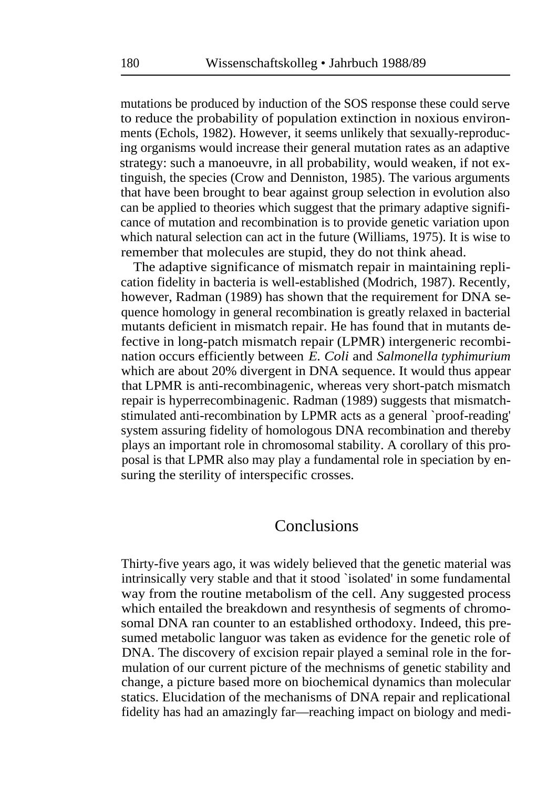mutations be produced by induction of the SOS response these could serve to reduce the probability of population extinction in noxious environments (Echols, 1982). However, it seems unlikely that sexually-reproducing organisms would increase their general mutation rates as an adaptive strategy: such a manoeuvre, in all probability, would weaken, if not extinguish, the species (Crow and Denniston, 1985). The various arguments that have been brought to bear against group selection in evolution also can be applied to theories which suggest that the primary adaptive significance of mutation and recombination is to provide genetic variation upon which natural selection can act in the future (Williams, 1975). It is wise to remember that molecules are stupid, they do not think ahead.

The adaptive significance of mismatch repair in maintaining replication fidelity in bacteria is well-established (Modrich, 1987). Recently, however, Radman (1989) has shown that the requirement for DNA sequence homology in general recombination is greatly relaxed in bacterial mutants deficient in mismatch repair. He has found that in mutants defective in long-patch mismatch repair (LPMR) intergeneric recombination occurs efficiently between *E. Coli* and *Salmonella typhimurium*  which are about 20% divergent in DNA sequence. It would thus appear that LPMR is anti-recombinagenic, whereas very short-patch mismatch repair is hyperrecombinagenic. Radman (1989) suggests that mismatchstimulated anti-recombination by LPMR acts as a general `proof-reading' system assuring fidelity of homologous DNA recombination and thereby plays an important role in chromosomal stability. A corollary of this proposal is that LPMR also may play a fundamental role in speciation by ensuring the sterility of interspecific crosses.

#### **Conclusions**

Thirty-five years ago, it was widely believed that the genetic material was intrinsically very stable and that it stood `isolated' in some fundamental way from the routine metabolism of the cell. Any suggested process which entailed the breakdown and resynthesis of segments of chromosomal DNA ran counter to an established orthodoxy. Indeed, this presumed metabolic languor was taken as evidence for the genetic role of DNA. The discovery of excision repair played a seminal role in the formulation of our current picture of the mechnisms of genetic stability and change, a picture based more on biochemical dynamics than molecular statics. Elucidation of the mechanisms of DNA repair and replicational fidelity has had an amazingly far—reaching impact on biology and medi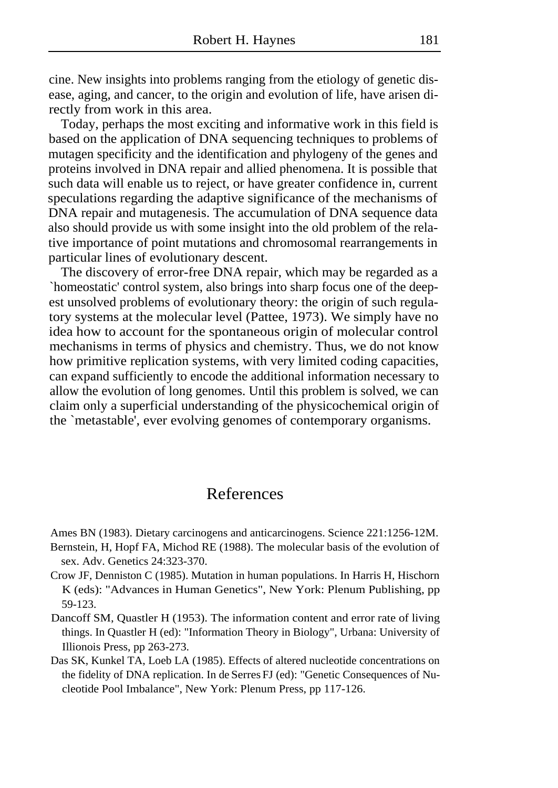cine. New insights into problems ranging from the etiology of genetic disease, aging, and cancer, to the origin and evolution of life, have arisen directly from work in this area.

Today, perhaps the most exciting and informative work in this field is based on the application of DNA sequencing techniques to problems of mutagen specificity and the identification and phylogeny of the genes and proteins involved in DNA repair and allied phenomena. It is possible that such data will enable us to reject, or have greater confidence in, current speculations regarding the adaptive significance of the mechanisms of DNA repair and mutagenesis. The accumulation of DNA sequence data also should provide us with some insight into the old problem of the relative importance of point mutations and chromosomal rearrangements in particular lines of evolutionary descent.

The discovery of error-free DNA repair, which may be regarded as a `homeostatic' control system, also brings into sharp focus one of the deepest unsolved problems of evolutionary theory: the origin of such regulatory systems at the molecular level (Pattee, 1973). We simply have no idea how to account for the spontaneous origin of molecular control mechanisms in terms of physics and chemistry. Thus, we do not know how primitive replication systems, with very limited coding capacities, can expand sufficiently to encode the additional information necessary to allow the evolution of long genomes. Until this problem is solved, we can claim only a superficial understanding of the physicochemical origin of the `metastable', ever evolving genomes of contemporary organisms.

## References

Ames BN (1983). Dietary carcinogens and anticarcinogens. Science 221:1256-12M.

- Bernstein, H, Hopf FA, Michod RE (1988). The molecular basis of the evolution of sex. Adv. Genetics 24:323-370.
- Crow JF, Denniston C (1985). Mutation in human populations. In Harris H, Hischorn K (eds): "Advances in Human Genetics", New York: Plenum Publishing, pp 59-123.
- Dancoff SM, Quastler H (1953). The information content and error rate of living things. In Quastler H (ed): "Information Theory in Biology", Urbana: University of Illionois Press, pp 263-273.
- Das SK, Kunkel TA, Loeb LA (1985). Effects of altered nucleotide concentrations on the fidelity of DNA replication. In de Serres FJ (ed): "Genetic Consequences of Nucleotide Pool Imbalance", New York: Plenum Press, pp 117-126.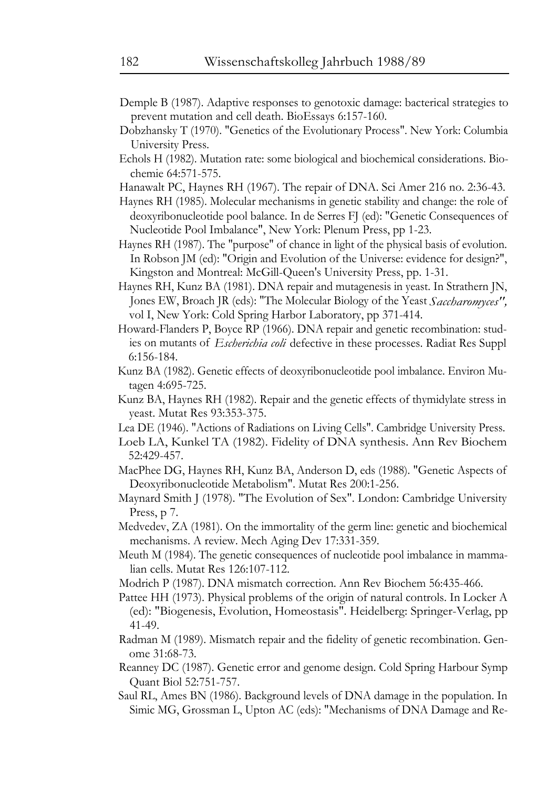- Demple B (1987). Adaptive responses to genotoxic damage: bacterical strategies to prevent mutation and cell death. BioEssays 6:157-160.
- Dobzhansky T (1970). "Genetics of the Evolutionary Process". New York: Columbia University Press.
- Echols H (1982). Mutation rate: some biological and biochemical considerations. Biochemie 64:571-575.
- Hanawalt PC, Haynes RH (1967). The repair of DNA. Sci Amer 216 no. 2:36-43.
- Haynes RH (1985). Molecular mechanisms in genetic stability and change: the role of deoxyribonucleotide pool balance. In de Serres FJ (ed): "Genetic Consequences of Nucleotide Pool Imbalance", New York: Plenum Press, pp 1-23.
- Haynes RH (1987). The "purpose" of chance in light of the physical basis of evolution. In Robson JM (ed): "Origin and Evolution of the Universe: evidence for design?", Kingston and Montreal: McGill-Queen's University Press, pp. 1-31.
- Haynes RH, Kunz BA (1981). DNA repair and mutagenesis in yeast. In Strathern JN, Jones EW, Broach JR (eds): "The Molecular Biology of the Yeast *Saccharomyces",*  vol I, New York: Cold Spring Harbor Laboratory, pp 371-414.
- Howard-Flanders P, Boyce RP (1966). DNA repair and genetic recombination: studies on mutants of *Escherichia coli* defective in these processes. Radiat Res Suppl 6:156-184.
- Kunz BA (1982). Genetic effects of deoxyribonucleotide pool imbalance. Environ Mutagen 4:695-725.
- Kunz BA, Haynes RH (1982). Repair and the genetic effects of thymidylate stress in yeast. Mutat Res 93:353-375.
- Lea DE (1946). "Actions of Radiations on Living Cells". Cambridge University Press.
- Loeb LA, Kunkel TA (1982). Fidelity of DNA synthesis. Ann Rev Biochem 52:429-457.
- MacPhee DG, Haynes RH, Kunz BA, Anderson D, eds (1988). "Genetic Aspects of Deoxyribonucleotide Metabolism". Mutat Res 200:1-256.
- Maynard Smith J (1978). "The Evolution of Sex". London: Cambridge University Press, p 7.
- Medvedev, ZA (1981). On the immortality of the germ line: genetic and biochemical mechanisms. A review. Mech Aging Dev 17:331-359.
- Meuth M (1984). The genetic consequences of nucleotide pool imbalance in mammalian cells. Mutat Res 126:107-112.
- Modrich P (1987). DNA mismatch correction. Ann Rev Biochem 56:435-466.
- Pattee HH (1973). Physical problems of the origin of natural controls. In Locker A (ed): "Biogenesis, Evolution, Homeostasis". Heidelberg: Springer-Verlag, pp 41-49.
- Radman M (1989). Mismatch repair and the fidelity of genetic recombination. Genome 31:68-73.
- Reanney DC (1987). Genetic error and genome design. Cold Spring Harbour Symp Quant Biol 52:751-757.
- Saul RL, Ames BN (1986). Background levels of DNA damage in the population. In Simic MG, Grossman L, Upton AC (eds): "Mechanisms of DNA Damage and Re-